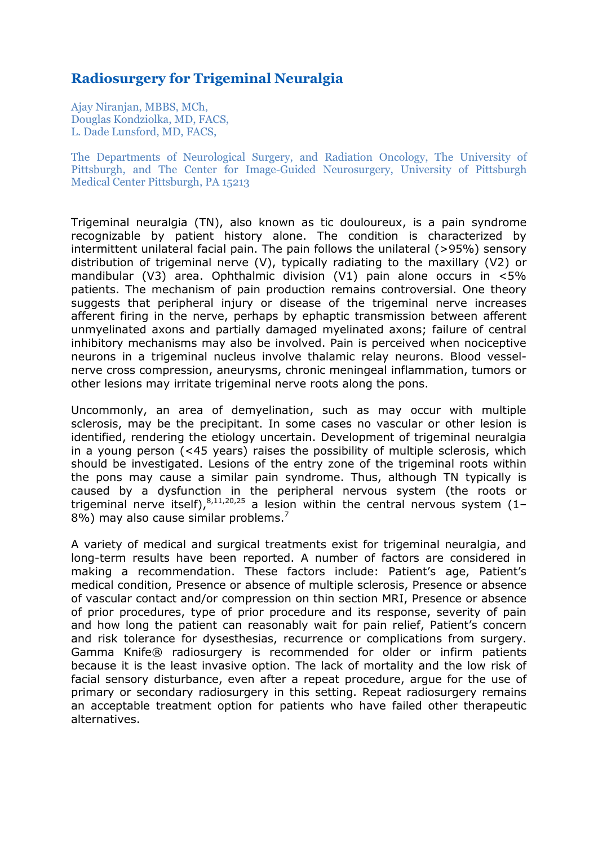# **Radiosurgery for Trigeminal Neuralgia**

Ajay Niranjan, MBBS, MCh, Douglas Kondziolka, MD, FACS, L. Dade Lunsford, MD, FACS,

The Departments of Neurological Surgery, and Radiation Oncology, The University of Pittsburgh, and The Center for Image-Guided Neurosurgery, University of Pittsburgh Medical Center Pittsburgh, PA 15213

Trigeminal neuralgia (TN), also known as tic douloureux, is a pain syndrome recognizable by patient history alone. The condition is characterized by intermittent unilateral facial pain. The pain follows the unilateral (>95%) sensory distribution of trigeminal nerve (V), typically radiating to the maxillary (V2) or mandibular (V3) area. Ophthalmic division (V1) pain alone occurs in  $<5\%$ patients. The mechanism of pain production remains controversial. One theory suggests that peripheral injury or disease of the trigeminal nerve increases afferent firing in the nerve, perhaps by ephaptic transmission between afferent unmyelinated axons and partially damaged myelinated axons; failure of central inhibitory mechanisms may also be involved. Pain is perceived when nociceptive neurons in a trigeminal nucleus involve thalamic relay neurons. Blood vesselnerve cross compression, aneurysms, chronic meningeal inflammation, tumors or other lesions may irritate trigeminal nerve roots along the pons.

Uncommonly, an area of demyelination, such as may occur with multiple sclerosis, may be the precipitant. In some cases no vascular or other lesion is identified, rendering the etiology uncertain. Development of trigeminal neuralgia in a young person (<45 years) raises the possibility of multiple sclerosis, which should be investigated. Lesions of the entry zone of the trigeminal roots within the pons may cause a similar pain syndrome. Thus, although TN typically is caused by a dysfunction in the peripheral nervous system (the roots or trigeminal nerve itself),  $8,11,20,25$  a lesion within the central nervous system (1-8%) may also cause similar problems.<sup>7</sup>

A variety of medical and surgical treatments exist for trigeminal neuralgia, and long-term results have been reported. A number of factors are considered in making a recommendation. These factors include: Patient's age, Patient's medical condition, Presence or absence of multiple sclerosis, Presence or absence of vascular contact and/or compression on thin section MRI, Presence or absence of prior procedures, type of prior procedure and its response, severity of pain and how long the patient can reasonably wait for pain relief, Patient's concern and risk tolerance for dysesthesias, recurrence or complications from surgery. Gamma Knife® radiosurgery is recommended for older or infirm patients because it is the least invasive option. The lack of mortality and the low risk of facial sensory disturbance, even after a repeat procedure, argue for the use of primary or secondary radiosurgery in this setting. Repeat radiosurgery remains an acceptable treatment option for patients who have failed other therapeutic alternatives.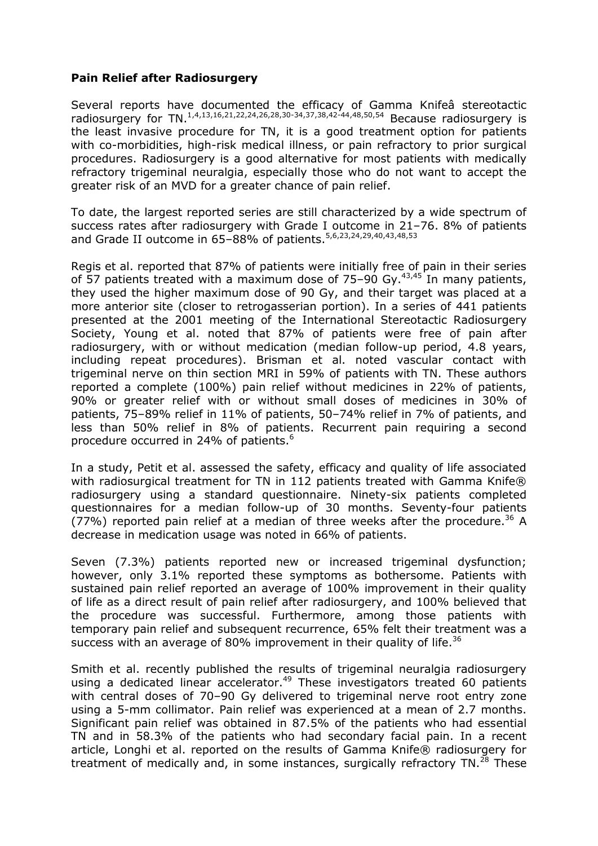#### **Pain Relief after Radiosurgery**

Several reports have documented the efficacy of Gamma Knifeâ stereotactic radiosurgery for TN.<sup>1,4,13,16,21,22,24,26,28,30-34,37,38,42-44,48,50,54</sup> Because radiosurgery is the least invasive procedure for TN, it is a good treatment option for patients with co-morbidities, high-risk medical illness, or pain refractory to prior surgical procedures. Radiosurgery is a good alternative for most patients with medically refractory trigeminal neuralgia, especially those who do not want to accept the greater risk of an MVD for a greater chance of pain relief.

To date, the largest reported series are still characterized by a wide spectrum of success rates after radiosurgery with Grade I outcome in 21–76. 8% of patients and Grade II outcome in 65-88% of patients.<sup>5,6,23,24,29,40,43,48,53</sup>

Regis et al. reported that 87% of patients were initially free of pain in their series of 57 patients treated with a maximum dose of 75–90 Gy.43,45 In many patients, they used the higher maximum dose of 90 Gy, and their target was placed at a more anterior site (closer to retrogasserian portion). In a series of 441 patients presented at the 2001 meeting of the International Stereotactic Radiosurgery Society, Young et al. noted that 87% of patients were free of pain after radiosurgery, with or without medication (median follow-up period, 4.8 years, including repeat procedures). Brisman et al. noted vascular contact with trigeminal nerve on thin section MRI in 59% of patients with TN. These authors reported a complete (100%) pain relief without medicines in 22% of patients, 90% or greater relief with or without small doses of medicines in 30% of patients, 75–89% relief in 11% of patients, 50–74% relief in 7% of patients, and less than 50% relief in 8% of patients. Recurrent pain requiring a second procedure occurred in 24% of patients.<sup>6</sup>

In a study, Petit et al. assessed the safety, efficacy and quality of life associated with radiosurgical treatment for TN in 112 patients treated with Gamma Knife® radiosurgery using a standard questionnaire. Ninety-six patients completed questionnaires for a median follow-up of 30 months. Seventy-four patients (77%) reported pain relief at a median of three weeks after the procedure.<sup>36</sup> A decrease in medication usage was noted in 66% of patients.

Seven (7.3%) patients reported new or increased trigeminal dysfunction; however, only 3.1% reported these symptoms as bothersome. Patients with sustained pain relief reported an average of 100% improvement in their quality of life as a direct result of pain relief after radiosurgery, and 100% believed that the procedure was successful. Furthermore, among those patients with temporary pain relief and subsequent recurrence, 65% felt their treatment was a success with an average of 80% improvement in their quality of life.<sup>36</sup>

Smith et al. recently published the results of trigeminal neuralgia radiosurgery using a dedicated linear accelerator.<sup>49</sup> These investigators treated 60 patients with central doses of 70–90 Gy delivered to trigeminal nerve root entry zone using a 5-mm collimator. Pain relief was experienced at a mean of 2.7 months. Significant pain relief was obtained in 87.5% of the patients who had essential TN and in 58.3% of the patients who had secondary facial pain. In a recent article, Longhi et al. reported on the results of Gamma Knife® radiosurgery for treatment of medically and, in some instances, surgically refractory  $TN$ .<sup>28</sup> These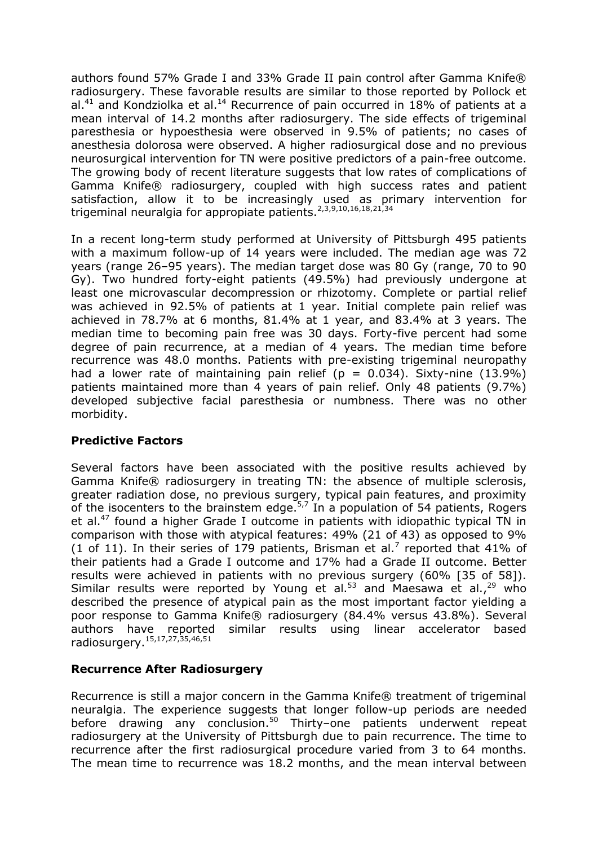authors found 57% Grade I and 33% Grade II pain control after Gamma Knife® radiosurgery. These favorable results are similar to those reported by Pollock et al.<sup>41</sup> and Kondziolka et al.<sup>14</sup> Recurrence of pain occurred in 18% of patients at a mean interval of 14.2 months after radiosurgery. The side effects of trigeminal paresthesia or hypoesthesia were observed in 9.5% of patients; no cases of anesthesia dolorosa were observed. A higher radiosurgical dose and no previous neurosurgical intervention for TN were positive predictors of a pain-free outcome. The growing body of recent literature suggests that low rates of complications of Gamma Knife® radiosurgery, coupled with high success rates and patient satisfaction, allow it to be increasingly used as primary intervention for trigeminal neuralgia for appropiate patients.<sup>2,3,9,10,16,18,21,34</sup>

In a recent long-term study performed at University of Pittsburgh 495 patients with a maximum follow-up of 14 years were included. The median age was 72 years (range 26–95 years). The median target dose was 80 Gy (range, 70 to 90 Gy). Two hundred forty-eight patients (49.5%) had previously undergone at least one microvascular decompression or rhizotomy. Complete or partial relief was achieved in 92.5% of patients at 1 year. Initial complete pain relief was achieved in 78.7% at 6 months, 81.4% at 1 year, and 83.4% at 3 years. The median time to becoming pain free was 30 days. Forty-five percent had some degree of pain recurrence, at a median of 4 years. The median time before recurrence was 48.0 months. Patients with pre-existing trigeminal neuropathy had a lower rate of maintaining pain relief ( $p = 0.034$ ). Sixty-nine (13.9%) patients maintained more than 4 years of pain relief. Only 48 patients (9.7%) developed subjective facial paresthesia or numbness. There was no other morbidity.

#### **Predictive Factors**

Several factors have been associated with the positive results achieved by Gamma Knife® radiosurgery in treating TN: the absence of multiple sclerosis, greater radiation dose, no previous surgery, typical pain features, and proximity of the isocenters to the brainstem edge.<sup>5,7</sup> In a population of 54 patients, Rogers et al.<sup>47</sup> found a higher Grade I outcome in patients with idiopathic typical TN in comparison with those with atypical features: 49% (21 of 43) as opposed to 9% (1 of 11). In their series of 179 patients, Brisman et al.<sup>7</sup> reported that 41% of their patients had a Grade I outcome and 17% had a Grade II outcome. Better results were achieved in patients with no previous surgery (60% [35 of 58]). Similar results were reported by Young et al.<sup>53</sup> and Maesawa et al.,<sup>29</sup> who described the presence of atypical pain as the most important factor yielding a poor response to Gamma Knife® radiosurgery (84.4% versus 43.8%). Several authors have reported similar results using linear accelerator based radiosurgery.15,17,27,35,46,51

#### **Recurrence After Radiosurgery**

Recurrence is still a major concern in the Gamma Knife® treatment of trigeminal neuralgia. The experience suggests that longer follow-up periods are needed before drawing any conclusion.<sup>50</sup> Thirty–one patients underwent repeat radiosurgery at the University of Pittsburgh due to pain recurrence. The time to recurrence after the first radiosurgical procedure varied from 3 to 64 months. The mean time to recurrence was 18.2 months, and the mean interval between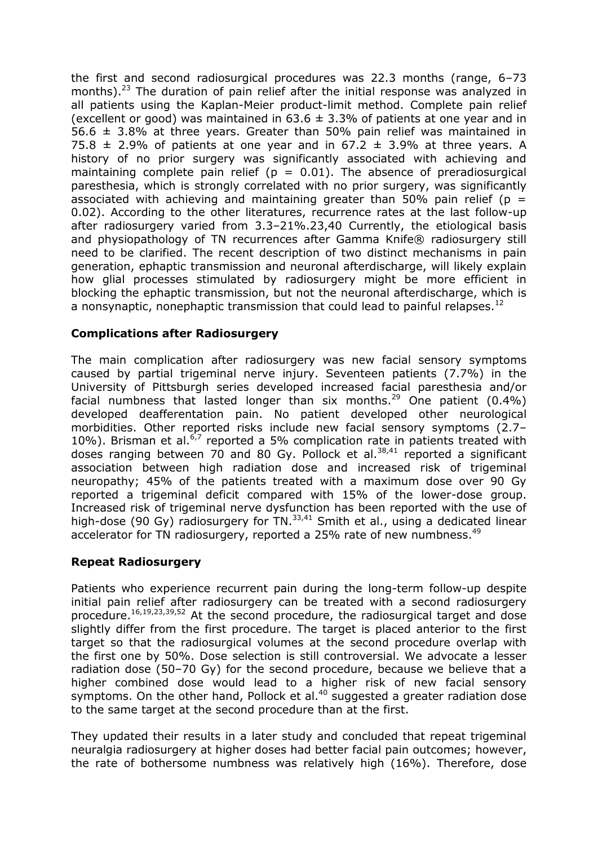the first and second radiosurgical procedures was 22.3 months (range, 6–73 months). $^{23}$  The duration of pain relief after the initial response was analyzed in all patients using the Kaplan-Meier product-limit method. Complete pain relief (excellent or good) was maintained in  $63.6 \pm 3.3\%$  of patients at one year and in 56.6  $\pm$  3.8% at three years. Greater than 50% pain relief was maintained in 75.8  $\pm$  2.9% of patients at one year and in 67.2  $\pm$  3.9% at three years. A history of no prior surgery was significantly associated with achieving and maintaining complete pain relief ( $p = 0.01$ ). The absence of preradiosurgical paresthesia, which is strongly correlated with no prior surgery, was significantly associated with achieving and maintaining greater than 50% pain relief ( $p =$ 0.02). According to the other literatures, recurrence rates at the last follow-up after radiosurgery varied from 3.3–21%.23,40 Currently, the etiological basis and physiopathology of TN recurrences after Gamma Knife® radiosurgery still need to be clarified. The recent description of two distinct mechanisms in pain generation, ephaptic transmission and neuronal afterdischarge, will likely explain how glial processes stimulated by radiosurgery might be more efficient in blocking the ephaptic transmission, but not the neuronal afterdischarge, which is a nonsynaptic, nonephaptic transmission that could lead to painful relapses.<sup>12</sup>

### **Complications after Radiosurgery**

The main complication after radiosurgery was new facial sensory symptoms caused by partial trigeminal nerve injury. Seventeen patients (7.7%) in the University of Pittsburgh series developed increased facial paresthesia and/or facial numbness that lasted longer than six months.<sup>29</sup> One patient  $(0.4\%)$ developed deafferentation pain. No patient developed other neurological morbidities. Other reported risks include new facial sensory symptoms (2.7– 10%). Brisman et al. $6,7$  reported a 5% complication rate in patients treated with doses ranging between 70 and 80 Gy. Pollock et al.  $38,41$  reported a significant association between high radiation dose and increased risk of trigeminal neuropathy; 45% of the patients treated with a maximum dose over 90 Gy reported a trigeminal deficit compared with 15% of the lower-dose group. Increased risk of trigeminal nerve dysfunction has been reported with the use of high-dose (90 Gy) radiosurgery for TN.<sup>33,41</sup> Smith et al., using a dedicated linear accelerator for TN radiosurgery, reported a 25% rate of new numbness.<sup>49</sup>

## **Repeat Radiosurgery**

Patients who experience recurrent pain during the long-term follow-up despite initial pain relief after radiosurgery can be treated with a second radiosurgery procedure.16,19,23,39,52 At the second procedure, the radiosurgical target and dose slightly differ from the first procedure. The target is placed anterior to the first target so that the radiosurgical volumes at the second procedure overlap with the first one by 50%. Dose selection is still controversial. We advocate a lesser radiation dose (50–70 Gy) for the second procedure, because we believe that a higher combined dose would lead to a higher risk of new facial sensory symptoms. On the other hand, Pollock et al. $40$  suggested a greater radiation dose to the same target at the second procedure than at the first.

They updated their results in a later study and concluded that repeat trigeminal neuralgia radiosurgery at higher doses had better facial pain outcomes; however, the rate of bothersome numbness was relatively high (16%). Therefore, dose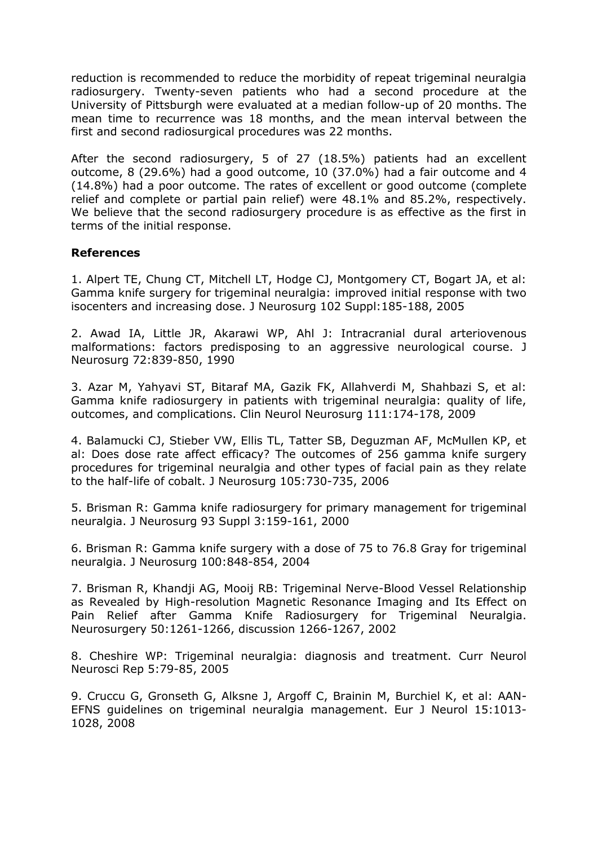reduction is recommended to reduce the morbidity of repeat trigeminal neuralgia radiosurgery. Twenty-seven patients who had a second procedure at the University of Pittsburgh were evaluated at a median follow-up of 20 months. The mean time to recurrence was 18 months, and the mean interval between the first and second radiosurgical procedures was 22 months.

After the second radiosurgery, 5 of 27 (18.5%) patients had an excellent outcome, 8 (29.6%) had a good outcome, 10 (37.0%) had a fair outcome and 4 (14.8%) had a poor outcome. The rates of excellent or good outcome (complete relief and complete or partial pain relief) were 48.1% and 85.2%, respectively. We believe that the second radiosurgery procedure is as effective as the first in terms of the initial response.

#### **References**

1. Alpert TE, Chung CT, Mitchell LT, Hodge CJ, Montgomery CT, Bogart JA, et al: Gamma knife surgery for trigeminal neuralgia: improved initial response with two isocenters and increasing dose. J Neurosurg 102 Suppl:185-188, 2005

2. Awad IA, Little JR, Akarawi WP, Ahl J: Intracranial dural arteriovenous malformations: factors predisposing to an aggressive neurological course. J Neurosurg 72:839-850, 1990

3. Azar M, Yahyavi ST, Bitaraf MA, Gazik FK, Allahverdi M, Shahbazi S, et al: Gamma knife radiosurgery in patients with trigeminal neuralgia: quality of life, outcomes, and complications. Clin Neurol Neurosurg 111:174-178, 2009

4. Balamucki CJ, Stieber VW, Ellis TL, Tatter SB, Deguzman AF, McMullen KP, et al: Does dose rate affect efficacy? The outcomes of 256 gamma knife surgery procedures for trigeminal neuralgia and other types of facial pain as they relate to the half-life of cobalt. J Neurosurg 105:730-735, 2006

5. Brisman R: Gamma knife radiosurgery for primary management for trigeminal neuralgia. J Neurosurg 93 Suppl 3:159-161, 2000

6. Brisman R: Gamma knife surgery with a dose of 75 to 76.8 Gray for trigeminal neuralgia. J Neurosurg 100:848-854, 2004

7. Brisman R, Khandji AG, Mooij RB: Trigeminal Nerve-Blood Vessel Relationship as Revealed by High-resolution Magnetic Resonance Imaging and Its Effect on Pain Relief after Gamma Knife Radiosurgery for Trigeminal Neuralgia. Neurosurgery 50:1261-1266, discussion 1266-1267, 2002

8. Cheshire WP: Trigeminal neuralgia: diagnosis and treatment. Curr Neurol Neurosci Rep 5:79-85, 2005

9. Cruccu G, Gronseth G, Alksne J, Argoff C, Brainin M, Burchiel K, et al: AAN-EFNS guidelines on trigeminal neuralgia management. Eur J Neurol 15:1013- 1028, 2008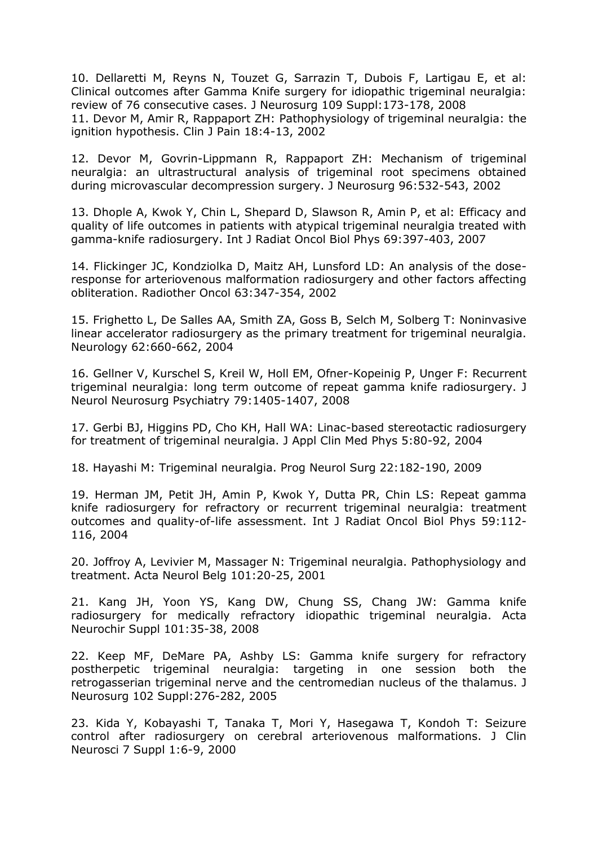10. Dellaretti M, Reyns N, Touzet G, Sarrazin T, Dubois F, Lartigau E, et al: Clinical outcomes after Gamma Knife surgery for idiopathic trigeminal neuralgia: review of 76 consecutive cases. J Neurosurg 109 Suppl:173-178, 2008 11. Devor M, Amir R, Rappaport ZH: Pathophysiology of trigeminal neuralgia: the ignition hypothesis. Clin J Pain 18:4-13, 2002

12. Devor M, Govrin-Lippmann R, Rappaport ZH: Mechanism of trigeminal neuralgia: an ultrastructural analysis of trigeminal root specimens obtained during microvascular decompression surgery. J Neurosurg 96:532-543, 2002

13. Dhople A, Kwok Y, Chin L, Shepard D, Slawson R, Amin P, et al: Efficacy and quality of life outcomes in patients with atypical trigeminal neuralgia treated with gamma-knife radiosurgery. Int J Radiat Oncol Biol Phys 69:397-403, 2007

14. Flickinger JC, Kondziolka D, Maitz AH, Lunsford LD: An analysis of the doseresponse for arteriovenous malformation radiosurgery and other factors affecting obliteration. Radiother Oncol 63:347-354, 2002

15. Frighetto L, De Salles AA, Smith ZA, Goss B, Selch M, Solberg T: Noninvasive linear accelerator radiosurgery as the primary treatment for trigeminal neuralgia. Neurology 62:660-662, 2004

16. Gellner V, Kurschel S, Kreil W, Holl EM, Ofner-Kopeinig P, Unger F: Recurrent trigeminal neuralgia: long term outcome of repeat gamma knife radiosurgery. J Neurol Neurosurg Psychiatry 79:1405-1407, 2008

17. Gerbi BJ, Higgins PD, Cho KH, Hall WA: Linac-based stereotactic radiosurgery for treatment of trigeminal neuralgia. J Appl Clin Med Phys 5:80-92, 2004

18. Hayashi M: Trigeminal neuralgia. Prog Neurol Surg 22:182-190, 2009

19. Herman JM, Petit JH, Amin P, Kwok Y, Dutta PR, Chin LS: Repeat gamma knife radiosurgery for refractory or recurrent trigeminal neuralgia: treatment outcomes and quality-of-life assessment. Int J Radiat Oncol Biol Phys 59:112- 116, 2004

20. Joffroy A, Levivier M, Massager N: Trigeminal neuralgia. Pathophysiology and treatment. Acta Neurol Belg 101:20-25, 2001

21. Kang JH, Yoon YS, Kang DW, Chung SS, Chang JW: Gamma knife radiosurgery for medically refractory idiopathic trigeminal neuralgia. Acta Neurochir Suppl 101:35-38, 2008

22. Keep MF, DeMare PA, Ashby LS: Gamma knife surgery for refractory postherpetic trigeminal neuralgia: targeting in one session both the retrogasserian trigeminal nerve and the centromedian nucleus of the thalamus. J Neurosurg 102 Suppl:276-282, 2005

23. Kida Y, Kobayashi T, Tanaka T, Mori Y, Hasegawa T, Kondoh T: Seizure control after radiosurgery on cerebral arteriovenous malformations. J Clin Neurosci 7 Suppl 1:6-9, 2000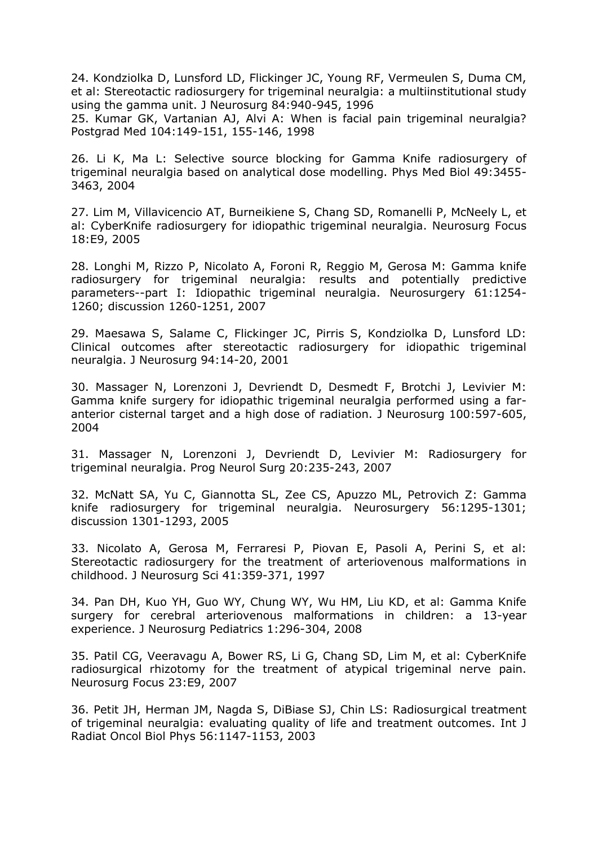24. Kondziolka D, Lunsford LD, Flickinger JC, Young RF, Vermeulen S, Duma CM, et al: Stereotactic radiosurgery for trigeminal neuralgia: a multiinstitutional study using the gamma unit. J Neurosurg 84:940-945, 1996 25. Kumar GK, Vartanian AJ, Alvi A: When is facial pain trigeminal neuralgia? Postgrad Med 104:149-151, 155-146, 1998

26. Li K, Ma L: Selective source blocking for Gamma Knife radiosurgery of trigeminal neuralgia based on analytical dose modelling. Phys Med Biol 49:3455- 3463, 2004

27. Lim M, Villavicencio AT, Burneikiene S, Chang SD, Romanelli P, McNeely L, et al: CyberKnife radiosurgery for idiopathic trigeminal neuralgia. Neurosurg Focus 18:E9, 2005

28. Longhi M, Rizzo P, Nicolato A, Foroni R, Reggio M, Gerosa M: Gamma knife radiosurgery for trigeminal neuralgia: results and potentially predictive parameters--part I: Idiopathic trigeminal neuralgia. Neurosurgery 61:1254- 1260; discussion 1260-1251, 2007

29. Maesawa S, Salame C, Flickinger JC, Pirris S, Kondziolka D, Lunsford LD: Clinical outcomes after stereotactic radiosurgery for idiopathic trigeminal neuralgia. J Neurosurg 94:14-20, 2001

30. Massager N, Lorenzoni J, Devriendt D, Desmedt F, Brotchi J, Levivier M: Gamma knife surgery for idiopathic trigeminal neuralgia performed using a faranterior cisternal target and a high dose of radiation. J Neurosurg 100:597-605, 2004

31. Massager N, Lorenzoni J, Devriendt D, Levivier M: Radiosurgery for trigeminal neuralgia. Prog Neurol Surg 20:235-243, 2007

32. McNatt SA, Yu C, Giannotta SL, Zee CS, Apuzzo ML, Petrovich Z: Gamma knife radiosurgery for trigeminal neuralgia. Neurosurgery 56:1295-1301; discussion 1301-1293, 2005

33. Nicolato A, Gerosa M, Ferraresi P, Piovan E, Pasoli A, Perini S, et al: Stereotactic radiosurgery for the treatment of arteriovenous malformations in childhood. J Neurosurg Sci 41:359-371, 1997

34. Pan DH, Kuo YH, Guo WY, Chung WY, Wu HM, Liu KD, et al: Gamma Knife surgery for cerebral arteriovenous malformations in children: a 13-year experience. J Neurosurg Pediatrics 1:296-304, 2008

35. Patil CG, Veeravagu A, Bower RS, Li G, Chang SD, Lim M, et al: CyberKnife radiosurgical rhizotomy for the treatment of atypical trigeminal nerve pain. Neurosurg Focus 23:E9, 2007

36. Petit JH, Herman JM, Nagda S, DiBiase SJ, Chin LS: Radiosurgical treatment of trigeminal neuralgia: evaluating quality of life and treatment outcomes. Int J Radiat Oncol Biol Phys 56:1147-1153, 2003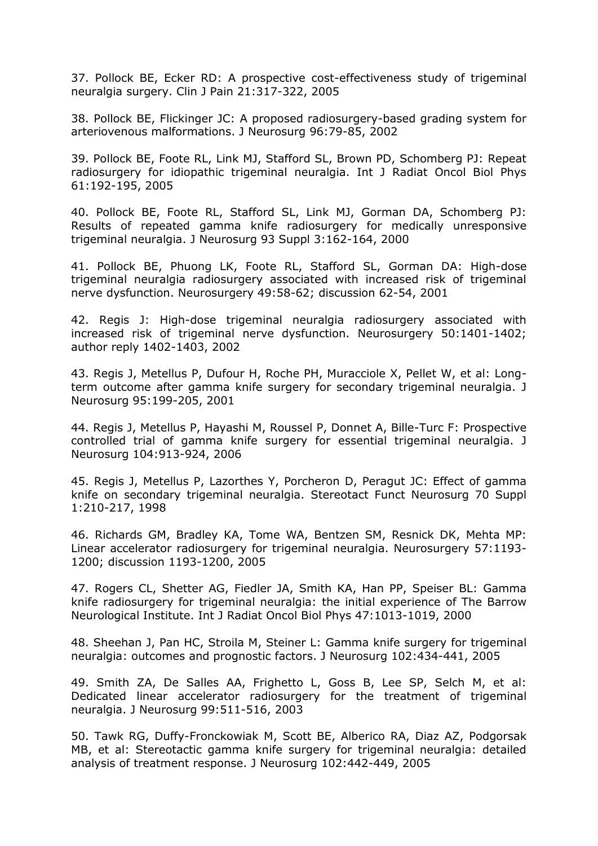37. Pollock BE, Ecker RD: A prospective cost-effectiveness study of trigeminal neuralgia surgery. Clin J Pain 21:317-322, 2005

38. Pollock BE, Flickinger JC: A proposed radiosurgery-based grading system for arteriovenous malformations. J Neurosurg 96:79-85, 2002

39. Pollock BE, Foote RL, Link MJ, Stafford SL, Brown PD, Schomberg PJ: Repeat radiosurgery for idiopathic trigeminal neuralgia. Int J Radiat Oncol Biol Phys 61:192-195, 2005

40. Pollock BE, Foote RL, Stafford SL, Link MJ, Gorman DA, Schomberg PJ: Results of repeated gamma knife radiosurgery for medically unresponsive trigeminal neuralgia. J Neurosurg 93 Suppl 3:162-164, 2000

41. Pollock BE, Phuong LK, Foote RL, Stafford SL, Gorman DA: High-dose trigeminal neuralgia radiosurgery associated with increased risk of trigeminal nerve dysfunction. Neurosurgery 49:58-62; discussion 62-54, 2001

42. Regis J: High-dose trigeminal neuralgia radiosurgery associated with increased risk of trigeminal nerve dysfunction. Neurosurgery 50:1401-1402; author reply 1402-1403, 2002

43. Regis J, Metellus P, Dufour H, Roche PH, Muracciole X, Pellet W, et al: Longterm outcome after gamma knife surgery for secondary trigeminal neuralgia. J Neurosurg 95:199-205, 2001

44. Regis J, Metellus P, Hayashi M, Roussel P, Donnet A, Bille-Turc F: Prospective controlled trial of gamma knife surgery for essential trigeminal neuralgia. J Neurosurg 104:913-924, 2006

45. Regis J, Metellus P, Lazorthes Y, Porcheron D, Peragut JC: Effect of gamma knife on secondary trigeminal neuralgia. Stereotact Funct Neurosurg 70 Suppl 1:210-217, 1998

46. Richards GM, Bradley KA, Tome WA, Bentzen SM, Resnick DK, Mehta MP: Linear accelerator radiosurgery for trigeminal neuralgia. Neurosurgery 57:1193- 1200; discussion 1193-1200, 2005

47. Rogers CL, Shetter AG, Fiedler JA, Smith KA, Han PP, Speiser BL: Gamma knife radiosurgery for trigeminal neuralgia: the initial experience of The Barrow Neurological Institute. Int J Radiat Oncol Biol Phys 47:1013-1019, 2000

48. Sheehan J, Pan HC, Stroila M, Steiner L: Gamma knife surgery for trigeminal neuralgia: outcomes and prognostic factors. J Neurosurg 102:434-441, 2005

49. Smith ZA, De Salles AA, Frighetto L, Goss B, Lee SP, Selch M, et al: Dedicated linear accelerator radiosurgery for the treatment of trigeminal neuralgia. J Neurosurg 99:511-516, 2003

50. Tawk RG, Duffy-Fronckowiak M, Scott BE, Alberico RA, Diaz AZ, Podgorsak MB, et al: Stereotactic gamma knife surgery for trigeminal neuralgia: detailed analysis of treatment response. J Neurosurg 102:442-449, 2005